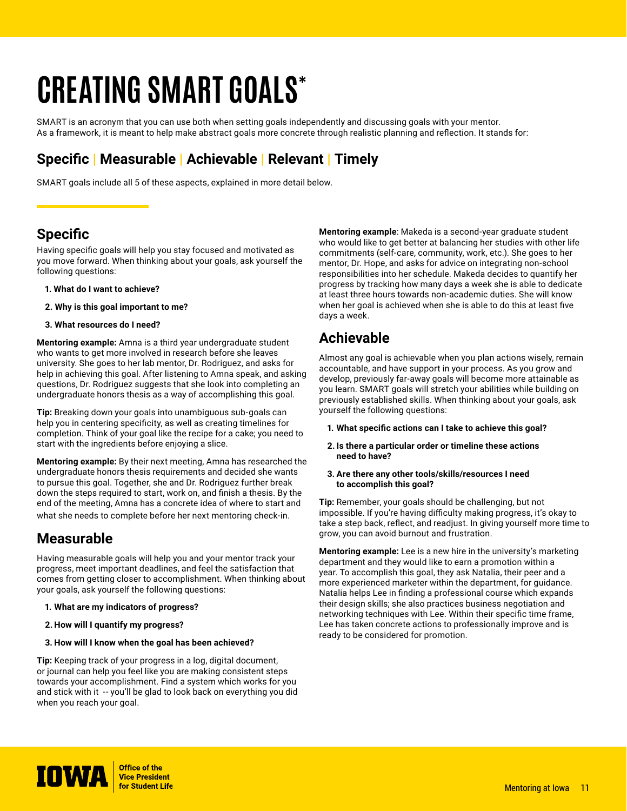# **CREATING SMART GOALS\***

SMART is an acronym that you can use both when setting goals independently and discussing goals with your mentor. As a framework, it is meant to help make abstract goals more concrete through realistic planning and reflection. It stands for:

## **Specific | Measurable | Achievable | Relevant | Timely**

SMART goals include all 5 of these aspects, explained in more detail below.

#### **Specific**

Having specific goals will help you stay focused and motivated as you move forward. When thinking about your goals, ask yourself the following questions:

- **1. What do I want to achieve?**
- **2. Why is this goal important to me?**
- **3. What resources do I need?**

**Mentoring example:** Amna is a third year undergraduate student who wants to get more involved in research before she leaves university. She goes to her lab mentor, Dr. Rodriguez, and asks for help in achieving this goal. After listening to Amna speak, and asking questions, Dr. Rodriguez suggests that she look into completing an undergraduate honors thesis as a way of accomplishing this goal.

**Tip:** Breaking down your goals into unambiguous sub-goals can help you in centering specificity, as well as creating timelines for completion. Think of your goal like the recipe for a cake; you need to start with the ingredients before enjoying a slice.

**Mentoring example:** By their next meeting, Amna has researched the undergraduate honors thesis requirements and decided she wants to pursue this goal. Together, she and Dr. Rodriguez further break down the steps required to start, work on, and finish a thesis. By the end of the meeting, Amna has a concrete idea of where to start and what she needs to complete before her next mentoring check-in.

#### **Measurable**

Having measurable goals will help you and your mentor track your progress, meet important deadlines, and feel the satisfaction that comes from getting closer to accomplishment. When thinking about your goals, ask yourself the following questions:

- **1. What are my indicators of progress?**
- **2. How will I quantify my progress?**
- **3. How will I know when the goal has been achieved?**

**Tip:** Keeping track of your progress in a log, digital document, or journal can help you feel like you are making consistent steps towards your accomplishment. Find a system which works for you and stick with it -- you'll be glad to look back on everything you did when you reach your goal.

**Mentoring example**: Makeda is a second-year graduate student who would like to get better at balancing her studies with other life commitments (self-care, community, work, etc.). She goes to her mentor, Dr. Hope, and asks for advice on integrating non-school responsibilities into her schedule. Makeda decides to quantify her progress by tracking how many days a week she is able to dedicate at least three hours towards non-academic duties. She will know when her goal is achieved when she is able to do this at least five days a week.

#### **Achievable**

Almost any goal is achievable when you plan actions wisely, remain accountable, and have support in your process. As you grow and develop, previously far-away goals will become more attainable as you learn. SMART goals will stretch your abilities while building on previously established skills. When thinking about your goals, ask yourself the following questions:

- **1. What specific actions can I take to achieve this goal?**
- **2. Is there a particular order or timeline these actions need to have?**
- **3. Are there any other tools/skills/resources I need to accomplish this goal?**

**Tip:** Remember, your goals should be challenging, but not impossible. If you're having difficulty making progress, it's okay to take a step back, reflect, and readjust. In giving yourself more time to grow, you can avoid burnout and frustration.

**Mentoring example:** Lee is a new hire in the university's marketing department and they would like to earn a promotion within a year. To accomplish this goal, they ask Natalia, their peer and a more experienced marketer within the department, for guidance. Natalia helps Lee in finding a professional course which expands their design skills; she also practices business negotiation and networking techniques with Lee. Within their specific time frame, Lee has taken concrete actions to professionally improve and is ready to be considered for promotion.

**IOWA** *Strice of the Vice President*